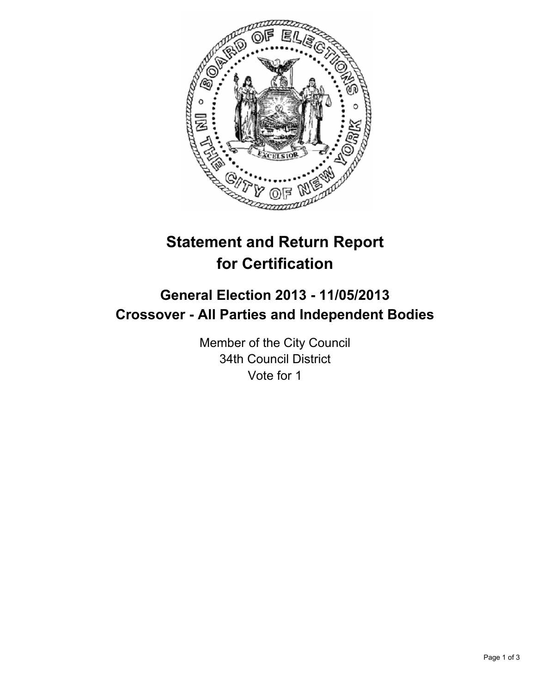

# **Statement and Return Report for Certification**

## **General Election 2013 - 11/05/2013 Crossover - All Parties and Independent Bodies**

Member of the City Council 34th Council District Vote for 1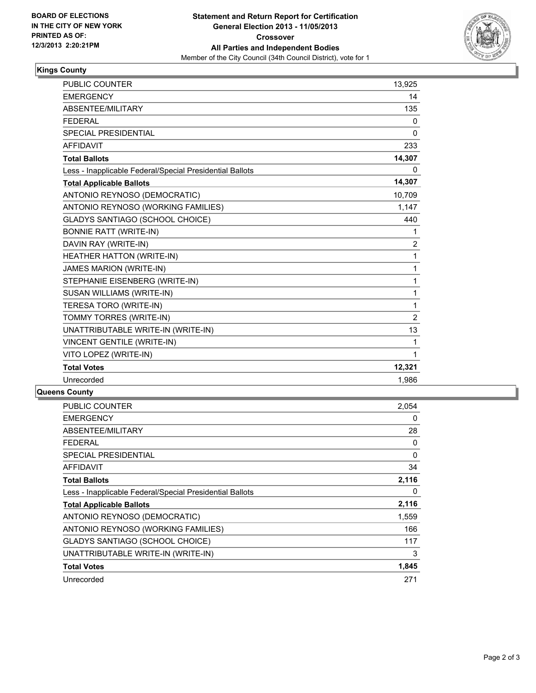

### **Kings County**

| <b>PUBLIC COUNTER</b>                                    | 13,925         |
|----------------------------------------------------------|----------------|
| <b>EMERGENCY</b>                                         | 14             |
| ABSENTEE/MILITARY                                        | 135            |
| <b>FEDERAL</b>                                           | 0              |
| <b>SPECIAL PRESIDENTIAL</b>                              | $\mathbf{0}$   |
| <b>AFFIDAVIT</b>                                         | 233            |
| <b>Total Ballots</b>                                     | 14,307         |
| Less - Inapplicable Federal/Special Presidential Ballots | 0              |
| <b>Total Applicable Ballots</b>                          | 14,307         |
| ANTONIO REYNOSO (DEMOCRATIC)                             | 10,709         |
| ANTONIO REYNOSO (WORKING FAMILIES)                       | 1,147          |
| <b>GLADYS SANTIAGO (SCHOOL CHOICE)</b>                   | 440            |
| <b>BONNIE RATT (WRITE-IN)</b>                            | 1              |
| DAVIN RAY (WRITE-IN)                                     | 2              |
| HEATHER HATTON (WRITE-IN)                                | 1              |
| <b>JAMES MARION (WRITE-IN)</b>                           | 1              |
| STEPHANIE EISENBERG (WRITE-IN)                           | 1              |
| SUSAN WILLIAMS (WRITE-IN)                                | 1              |
| TERESA TORO (WRITE-IN)                                   | $\mathbf{1}$   |
| TOMMY TORRES (WRITE-IN)                                  | $\overline{2}$ |
| UNATTRIBUTABLE WRITE-IN (WRITE-IN)                       | 13             |
| <b>VINCENT GENTILE (WRITE-IN)</b>                        | 1              |
| VITO LOPEZ (WRITE-IN)                                    | 1              |
| <b>Total Votes</b>                                       | 12,321         |
| Unrecorded                                               | 1,986          |

#### **Queens County**

| <b>PUBLIC COUNTER</b>                                    | 2,054 |
|----------------------------------------------------------|-------|
| <b>EMERGENCY</b>                                         | 0     |
| <b>ABSENTEE/MILITARY</b>                                 | 28    |
| <b>FEDERAL</b>                                           | 0     |
| SPECIAL PRESIDENTIAL                                     | 0     |
| <b>AFFIDAVIT</b>                                         | 34    |
| <b>Total Ballots</b>                                     | 2,116 |
| Less - Inapplicable Federal/Special Presidential Ballots | 0     |
| <b>Total Applicable Ballots</b>                          | 2,116 |
| ANTONIO REYNOSO (DEMOCRATIC)                             | 1,559 |
| ANTONIO REYNOSO (WORKING FAMILIES)                       | 166   |
| <b>GLADYS SANTIAGO (SCHOOL CHOICE)</b>                   | 117   |
| UNATTRIBUTABLE WRITE-IN (WRITE-IN)                       | 3     |
| <b>Total Votes</b>                                       | 1,845 |
| Unrecorded                                               | 271   |